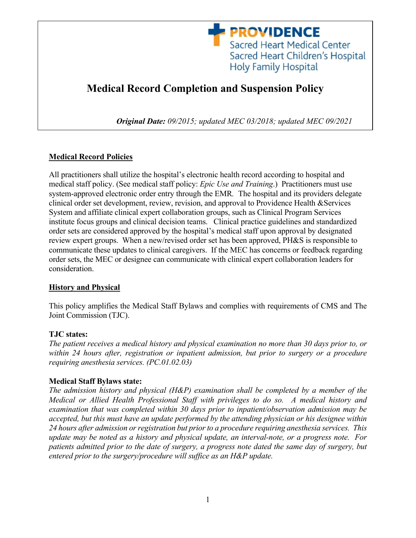

# **Medical Record Completion and Suspension Policy**

*Original Date: 09/2015; updated MEC 03/2018; updated MEC 09/2021*

## **Medical Record Policies**

All practitioners shall utilize the hospital's electronic health record according to hospital and medical staff policy. (See medical staff policy: *Epic Use and Training*.) Practitioners must use system-approved electronic order entry through the EMR*.* The hospital and its providers delegate clinical order set development, review, revision, and approval to Providence Health &Services System and affiliate clinical expert collaboration groups, such as Clinical Program Services institute focus groups and clinical decision teams. Clinical practice guidelines and standardized order sets are considered approved by the hospital's medical staff upon approval by designated review expert groups. When a new/revised order set has been approved, PH&S is responsible to communicate these updates to clinical caregivers. If the MEC has concerns or feedback regarding order sets, the MEC or designee can communicate with clinical expert collaboration leaders for consideration.

## **History and Physical**

This policy amplifies the Medical Staff Bylaws and complies with requirements of CMS and The Joint Commission (TJC).

## **TJC states:**

*The patient receives a medical history and physical examination no more than 30 days prior to, or within 24 hours after, registration or inpatient admission, but prior to surgery or a procedure requiring anesthesia services. (PC.01.02.03)*

## **Medical Staff Bylaws state:**

*The admission history and physical (H&P) examination shall be completed by a member of the Medical or Allied Health Professional Staff with privileges to do so. A medical history and examination that was completed within 30 days prior to inpatient/observation admission may be accepted, but this must have an update performed by the attending physician or his designee within 24 hours after admission or registration but prior to a procedure requiring anesthesia services. This update may be noted as a history and physical update, an interval-note, or a progress note. For patients admitted prior to the date of surgery, a progress note dated the same day of surgery, but entered prior to the surgery/procedure will suffice as an H&P update.*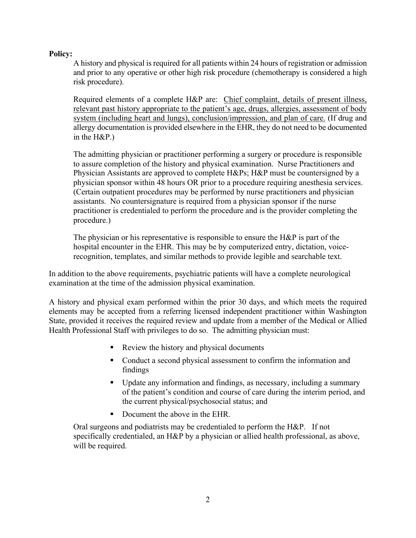#### **Policy:**

A history and physical is required for all patients within 24 hours of registration or admission and prior to any operative or other high risk procedure (chemotherapy is considered a high risk procedure).

Required elements of a complete H&P are: Chief complaint, details of present illness, relevant past history appropriate to the patient's age, drugs, allergies, assessment of body system (including heart and lungs), conclusion/impression, and plan of care. (If drug and allergy documentation is provided elsewhere in the EHR, they do not need to be documented in the H&P.)

The admitting physician or practitioner performing a surgery or procedure is responsible to assure completion of the history and physical examination. Nurse Practitioners and Physician Assistants are approved to complete H&Ps; H&P must be countersigned by a physician sponsor within 48 hours OR prior to a procedure requiring anesthesia services. (Certain outpatient procedures may be performed by nurse practitioners and physician assistants. No countersignature is required from a physician sponsor if the nurse practitioner is credentialed to perform the procedure and is the provider completing the procedure.)

The physician or his representative is responsible to ensure the H&P is part of the hospital encounter in the EHR. This may be by computerized entry, dictation, voicerecognition, templates, and similar methods to provide legible and searchable text.

In addition to the above requirements, psychiatric patients will have a complete neurological examination at the time of the admission physical examination.

A history and physical exam performed within the prior 30 days, and which meets the required elements may be accepted from a referring licensed independent practitioner within Washington State, provided it receives the required review and update from a member of the Medical or Allied Health Professional Staff with privileges to do so. The admitting physician must:

- Review the history and physical documents
- Conduct a second physical assessment to confirm the information and findings
- Update any information and findings, as necessary, including a summary of the patient's condition and course of care during the interim period, and the current physical/psychosocial status; and
- Document the above in the EHR.

Oral surgeons and podiatrists may be credentialed to perform the H&P. If not specifically credentialed, an H&P by a physician or allied health professional, as above, will be required.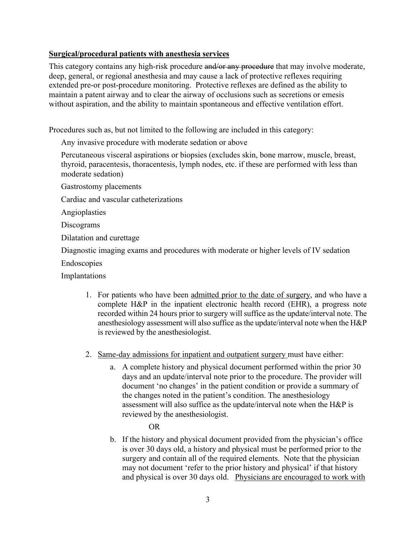#### **Surgical/procedural patients with anesthesia services**

This category contains any high-risk procedure and/or any procedure that may involve moderate, deep, general, or regional anesthesia and may cause a lack of protective reflexes requiring extended pre-or post-procedure monitoring. Protective reflexes are defined as the ability to maintain a patent airway and to clear the airway of occlusions such as secretions or emesis without aspiration, and the ability to maintain spontaneous and effective ventilation effort.

Procedures such as, but not limited to the following are included in this category:

Any invasive procedure with moderate sedation or above

Percutaneous visceral aspirations or biopsies (excludes skin, bone marrow, muscle, breast, thyroid, paracentesis, thoracentesis, lymph nodes, etc. if these are performed with less than moderate sedation)

Gastrostomy placements

Cardiac and vascular catheterizations

Angioplasties

Discograms

Dilatation and curettage

Diagnostic imaging exams and procedures with moderate or higher levels of IV sedation

Endoscopies

Implantations

- 1. For patients who have been admitted prior to the date of surgery, and who have a complete H&P in the inpatient electronic health record (EHR), a progress note recorded within 24 hours prior to surgery will suffice as the update/interval note. The anesthesiology assessment will also suffice as the update/interval note when the H&P is reviewed by the anesthesiologist.
- 2. Same-day admissions for inpatient and outpatient surgery must have either:
	- a. A complete history and physical document performed within the prior 30 days and an update/interval note prior to the procedure. The provider will document 'no changes' in the patient condition or provide a summary of the changes noted in the patient's condition. The anesthesiology assessment will also suffice as the update/interval note when the H&P is reviewed by the anesthesiologist.

OR

b. If the history and physical document provided from the physician's office is over 30 days old, a history and physical must be performed prior to the surgery and contain all of the required elements. Note that the physician may not document 'refer to the prior history and physical' if that history and physical is over 30 days old. Physicians are encouraged to work with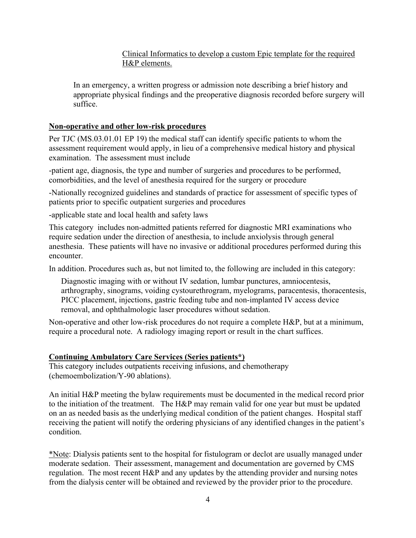Clinical Informatics to develop a custom Epic template for the required H&P elements.

In an emergency, a written progress or admission note describing a brief history and appropriate physical findings and the preoperative diagnosis recorded before surgery will suffice.

#### **Non-operative and other low-risk procedures**

Per TJC (MS.03.01.01 EP 19) the medical staff can identify specific patients to whom the assessment requirement would apply, in lieu of a comprehensive medical history and physical examination. The assessment must include

-patient age, diagnosis, the type and number of surgeries and procedures to be performed, comorbidities, and the level of anesthesia required for the surgery or procedure

-Nationally recognized guidelines and standards of practice for assessment of specific types of patients prior to specific outpatient surgeries and procedures

-applicable state and local health and safety laws

This category includes non-admitted patients referred for diagnostic MRI examinations who require sedation under the direction of anesthesia, to include anxiolysis through general anesthesia. These patients will have no invasive or additional procedures performed during this encounter.

In addition. Procedures such as, but not limited to, the following are included in this category:

Diagnostic imaging with or without IV sedation, lumbar punctures, amniocentesis, arthrography, sinograms, voiding cystourethrogram, myelograms, paracentesis, thoracentesis, PICC placement, injections, gastric feeding tube and non-implanted IV access device removal, and ophthalmologic laser procedures without sedation.

Non-operative and other low-risk procedures do not require a complete H&P, but at a minimum, require a procedural note. A radiology imaging report or result in the chart suffices.

## **Continuing Ambulatory Care Services (Series patients\*)**

This category includes outpatients receiving infusions, and chemotherapy (chemoembolization/Y-90 ablations).

An initial H&P meeting the bylaw requirements must be documented in the medical record prior to the initiation of the treatment. The H&P may remain valid for one year but must be updated on an as needed basis as the underlying medical condition of the patient changes. Hospital staff receiving the patient will notify the ordering physicians of any identified changes in the patient's condition.

\*Note: Dialysis patients sent to the hospital for fistulogram or declot are usually managed under moderate sedation. Their assessment, management and documentation are governed by CMS regulation. The most recent H&P and any updates by the attending provider and nursing notes from the dialysis center will be obtained and reviewed by the provider prior to the procedure.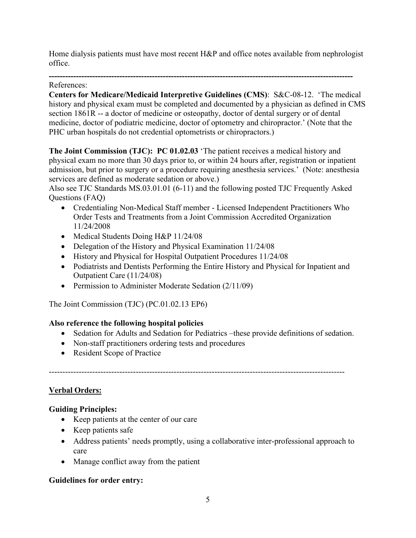Home dialysis patients must have most recent H&P and office notes available from nephrologist office.

#### **----------------------------------------------------------------------------------------------------------------** References:

**Centers for Medicare/Medicaid Interpretive Guidelines (CMS)**: S&C-08-12. 'The medical history and physical exam must be completed and documented by a physician as defined in CMS section 1861R -- a doctor of medicine or osteopathy, doctor of dental surgery or of dental medicine, doctor of podiatric medicine, doctor of optometry and chiropractor.' (Note that the PHC urban hospitals do not credential optometrists or chiropractors.)

**The Joint Commission (TJC): PC 01.02.03** 'The patient receives a medical history and physical exam no more than 30 days prior to, or within 24 hours after, registration or inpatient admission, but prior to surgery or a procedure requiring anesthesia services.' (Note: anesthesia services are defined as moderate sedation or above.)

Also see TJC Standards MS.03.01.01 (6-11) and the following posted TJC Frequently Asked Questions (FAQ)

- Credentialing Non-Medical Staff member Licensed Independent Practitioners Who Order Tests and Treatments from a Joint Commission Accredited Organization 11/24/2008
- Medical Students Doing H&P 11/24/08
- Delegation of the History and Physical Examination 11/24/08
- History and Physical for Hospital Outpatient Procedures 11/24/08
- Podiatrists and Dentists Performing the Entire History and Physical for Inpatient and Outpatient Care (11/24/08)
- Permission to Administer Moderate Sedation (2/11/09)

The Joint Commission (TJC) (PC.01.02.13 EP6)

## **Also reference the following hospital policies**

- Sedation for Adults and Sedation for Pediatrics –these provide definitions of sedation.
- Non-staff practitioners ordering tests and procedures
- Resident Scope of Practice

#### -------------------------------------------------------------------------------------------------------------

## **Verbal Orders:**

## **Guiding Principles:**

- Keep patients at the center of our care
- Keep patients safe
- Address patients' needs promptly, using a collaborative inter-professional approach to care
- Manage conflict away from the patient

## **Guidelines for order entry:**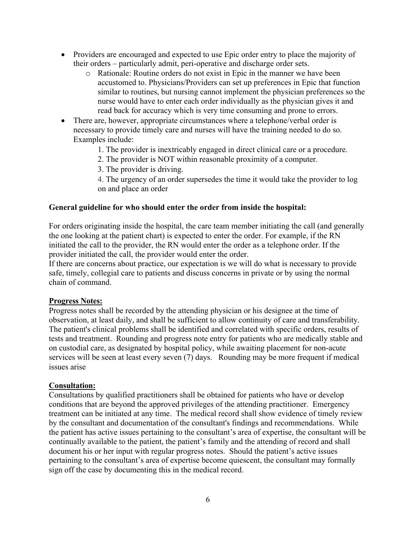- Providers are encouraged and expected to use Epic order entry to place the majority of their orders – particularly admit, peri-operative and discharge order sets.
	- o Rationale: Routine orders do not exist in Epic in the manner we have been accustomed to. Physicians/Providers can set up preferences in Epic that function similar to routines, but nursing cannot implement the physician preferences so the nurse would have to enter each order individually as the physician gives it and read back for accuracy which is very time consuming and prone to errors.
- There are, however, appropriate circumstances where a telephone/verbal order is necessary to provide timely care and nurses will have the training needed to do so. Examples include:
	- 1. The provider is inextricably engaged in direct clinical care or a procedure.
	- 2. The provider is NOT within reasonable proximity of a computer.
	- 3. The provider is driving.
	- 4. The urgency of an order supersedes the time it would take the provider to log on and place an order

#### **General guideline for who should enter the order from inside the hospital:**

For orders originating inside the hospital, the care team member initiating the call (and generally the one looking at the patient chart) is expected to enter the order. For example, if the RN initiated the call to the provider, the RN would enter the order as a telephone order. If the provider initiated the call, the provider would enter the order.

If there are concerns about practice, our expectation is we will do what is necessary to provide safe, timely, collegial care to patients and discuss concerns in private or by using the normal chain of command.

#### **Progress Notes:**

Progress notes shall be recorded by the attending physician or his designee at the time of observation, at least daily, and shall be sufficient to allow continuity of care and transferability. The patient's clinical problems shall be identified and correlated with specific orders, results of tests and treatment. Rounding and progress note entry for patients who are medically stable and on custodial care, as designated by hospital policy, while awaiting placement for non-acute services will be seen at least every seven (7) days. Rounding may be more frequent if medical issues arise

#### **Consultation:**

Consultations by qualified practitioners shall be obtained for patients who have or develop conditions that are beyond the approved privileges of the attending practitioner. Emergency treatment can be initiated at any time. The medical record shall show evidence of timely review by the consultant and documentation of the consultant's findings and recommendations. While the patient has active issues pertaining to the consultant's area of expertise, the consultant will be continually available to the patient, the patient's family and the attending of record and shall document his or her input with regular progress notes. Should the patient's active issues pertaining to the consultant's area of expertise become quiescent, the consultant may formally sign off the case by documenting this in the medical record.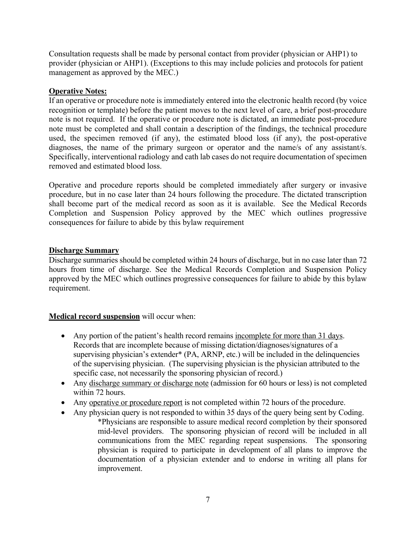Consultation requests shall be made by personal contact from provider (physician or AHP1) to provider (physician or AHP1). (Exceptions to this may include policies and protocols for patient management as approved by the MEC.)

## **Operative Notes:**

If an operative or procedure note is immediately entered into the electronic health record (by voice recognition or template) before the patient moves to the next level of care, a brief post-procedure note is not required. If the operative or procedure note is dictated, an immediate post-procedure note must be completed and shall contain a description of the findings, the technical procedure used, the specimen removed (if any), the estimated blood loss (if any), the post-operative diagnoses, the name of the primary surgeon or operator and the name/s of any assistant/s. Specifically, interventional radiology and cath lab cases do not require documentation of specimen removed and estimated blood loss.

Operative and procedure reports should be completed immediately after surgery or invasive procedure, but in no case later than 24 hours following the procedure. The dictated transcription shall become part of the medical record as soon as it is available. See the Medical Records Completion and Suspension Policy approved by the MEC which outlines progressive consequences for failure to abide by this bylaw requirement

## **Discharge Summary**

Discharge summaries should be completed within 24 hours of discharge, but in no case later than 72 hours from time of discharge. See the Medical Records Completion and Suspension Policy approved by the MEC which outlines progressive consequences for failure to abide by this bylaw requirement.

## **Medical record suspension** will occur when:

- Any portion of the patient's health record remains incomplete for more than 31 days. Records that are incomplete because of missing dictation/diagnoses/signatures of a supervising physician's extender\* (PA, ARNP, etc.) will be included in the delinquencies of the supervising physician. (The supervising physician is the physician attributed to the specific case, not necessarily the sponsoring physician of record.)
- Any discharge summary or discharge note (admission for 60 hours or less) is not completed within 72 hours.
- Any operative or procedure report is not completed within 72 hours of the procedure.
- Any physician query is not responded to within 35 days of the query being sent by Coding. \*Physicians are responsible to assure medical record completion by their sponsored mid-level providers. The sponsoring physician of record will be included in all communications from the MEC regarding repeat suspensions. The sponsoring physician is required to participate in development of all plans to improve the documentation of a physician extender and to endorse in writing all plans for improvement.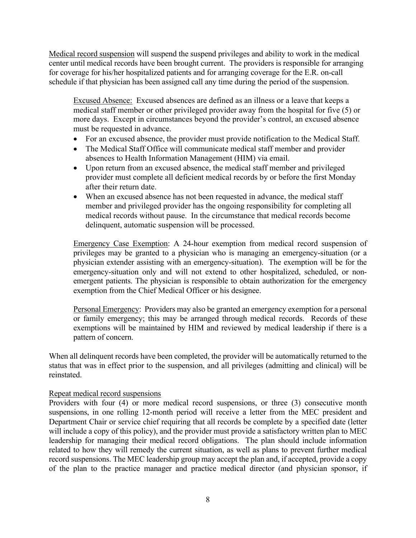Medical record suspension will suspend the suspend privileges and ability to work in the medical center until medical records have been brought current. The providers is responsible for arranging for coverage for his/her hospitalized patients and for arranging coverage for the E.R. on-call schedule if that physician has been assigned call any time during the period of the suspension.

Excused Absence: Excused absences are defined as an illness or a leave that keeps a medical staff member or other privileged provider away from the hospital for five (5) or more days. Except in circumstances beyond the provider's control, an excused absence must be requested in advance.

- For an excused absence, the provider must provide notification to the Medical Staff.
- The Medical Staff Office will communicate medical staff member and provider absences to Health Information Management (HIM) via email.
- Upon return from an excused absence, the medical staff member and privileged provider must complete all deficient medical records by or before the first Monday after their return date.
- When an excused absence has not been requested in advance, the medical staff member and privileged provider has the ongoing responsibility for completing all medical records without pause. In the circumstance that medical records become delinquent, automatic suspension will be processed.

Emergency Case Exemption: A 24-hour exemption from medical record suspension of privileges may be granted to a physician who is managing an emergency-situation (or a physician extender assisting with an emergency-situation). The exemption will be for the emergency-situation only and will not extend to other hospitalized, scheduled, or nonemergent patients. The physician is responsible to obtain authorization for the emergency exemption from the Chief Medical Officer or his designee.

Personal Emergency: Providers may also be granted an emergency exemption for a personal or family emergency; this may be arranged through medical records. Records of these exemptions will be maintained by HIM and reviewed by medical leadership if there is a pattern of concern.

When all delinquent records have been completed, the provider will be automatically returned to the status that was in effect prior to the suspension, and all privileges (admitting and clinical) will be reinstated.

#### Repeat medical record suspensions

Providers with four (4) or more medical record suspensions, or three (3) consecutive month suspensions, in one rolling 12-month period will receive a letter from the MEC president and Department Chair or service chief requiring that all records be complete by a specified date (letter will include a copy of this policy), and the provider must provide a satisfactory written plan to MEC leadership for managing their medical record obligations. The plan should include information related to how they will remedy the current situation, as well as plans to prevent further medical record suspensions. The MEC leadership group may accept the plan and, if accepted, provide a copy of the plan to the practice manager and practice medical director (and physician sponsor, if